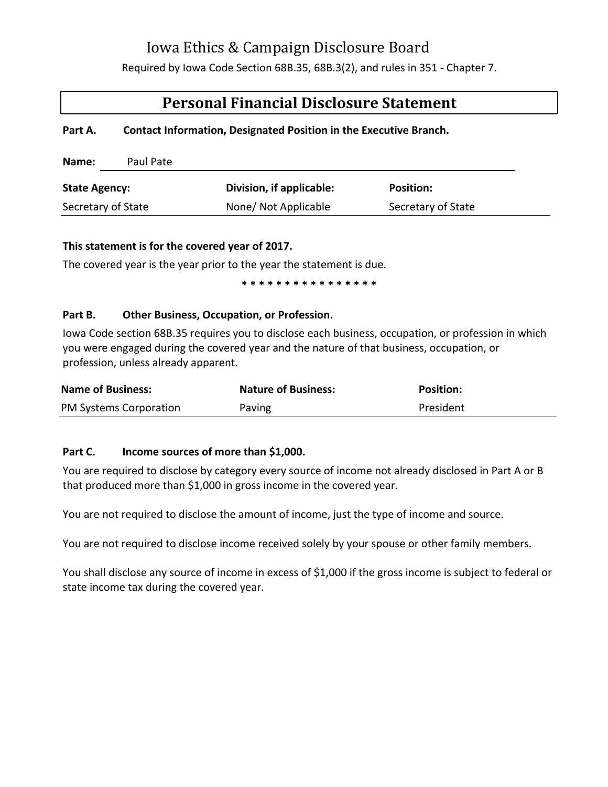# Iowa Ethics & Campaign Disclosure Board

Required by Iowa Code Section 68B.35, 68B.3(2), and rules in 351 - Chapter 7.

# **Personal Financial Disclosure Statement**

### **Part A. Contact Information, Designated Position in the Executive Branch.**

| Name:                | Paul Pate |                          |                    |
|----------------------|-----------|--------------------------|--------------------|
| <b>State Agency:</b> |           | Division, if applicable: | <b>Position:</b>   |
| Secretary of State   |           | None/ Not Applicable     | Secretary of State |

#### **This statement is for the covered year of 2017.**

The covered year is the year prior to the year the statement is due.

 **\* \* \* \* \* \* \* \* \* \* \* \* \* \* \* \*** 

## **Part B. Other Business, Occupation, or Profession.**

Iowa Code section 68B.35 requires you to disclose each business, occupation, or profession in which you were engaged during the covered year and the nature of that business, occupation, or profession, unless already apparent.

| <b>Name of Business:</b> | <b>Nature of Business:</b> | <b>Position:</b> |
|--------------------------|----------------------------|------------------|
| PM Systems Corporation   | Paving                     | President        |

## **Part C. Income sources of more than \$1,000.**

You are required to disclose by category every source of income not already disclosed in Part A or B that produced more than \$1,000 in gross income in the covered year.

You are not required to disclose the amount of income, just the type of income and source.

You are not required to disclose income received solely by your spouse or other family members.

You shall disclose any source of income in excess of \$1,000 if the gross income is subject to federal or state income tax during the covered year.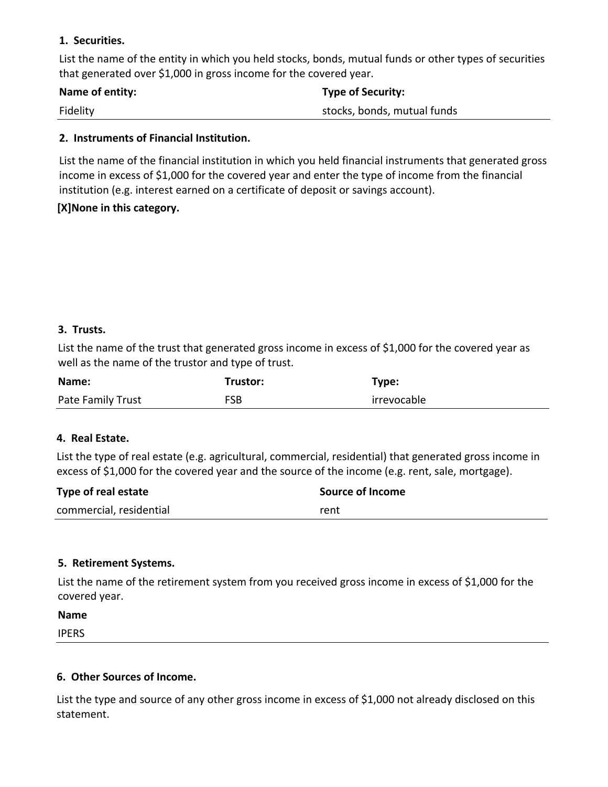## **1. Securities.**

List the name of the entity in which you held stocks, bonds, mutual funds or other types of securities that generated over \$1,000 in gross income for the covered year.

| Name of entity: | <b>Type of Security:</b>    |
|-----------------|-----------------------------|
| Fidelity        | stocks, bonds, mutual funds |

### **2. Instruments of Financial Institution.**

List the name of the financial institution in which you held financial instruments that generated gross income in excess of \$1,000 for the covered year and enter the type of income from the financial institution (e.g. interest earned on a certificate of deposit or savings account).

## **[X]None in this category.**

## **3. Trusts.**

List the name of the trust that generated gross income in excess of \$1,000 for the covered year as well as the name of the trustor and type of trust.

| Name:             | Trustor:   | Type:       |
|-------------------|------------|-------------|
| Pate Family Trust | <b>FSB</b> | irrevocable |

## **4. Real Estate.**

List the type of real estate (e.g. agricultural, commercial, residential) that generated gross income in excess of \$1,000 for the covered year and the source of the income (e.g. rent, sale, mortgage).

| Type of real estate     | Source of Income |
|-------------------------|------------------|
| commercial, residential | rent             |

## **5. Retirement Systems.**

List the name of the retirement system from you received gross income in excess of \$1,000 for the covered year.

**Name** IPERS

## **6. Other Sources of Income.**

List the type and source of any other gross income in excess of \$1,000 not already disclosed on this statement.